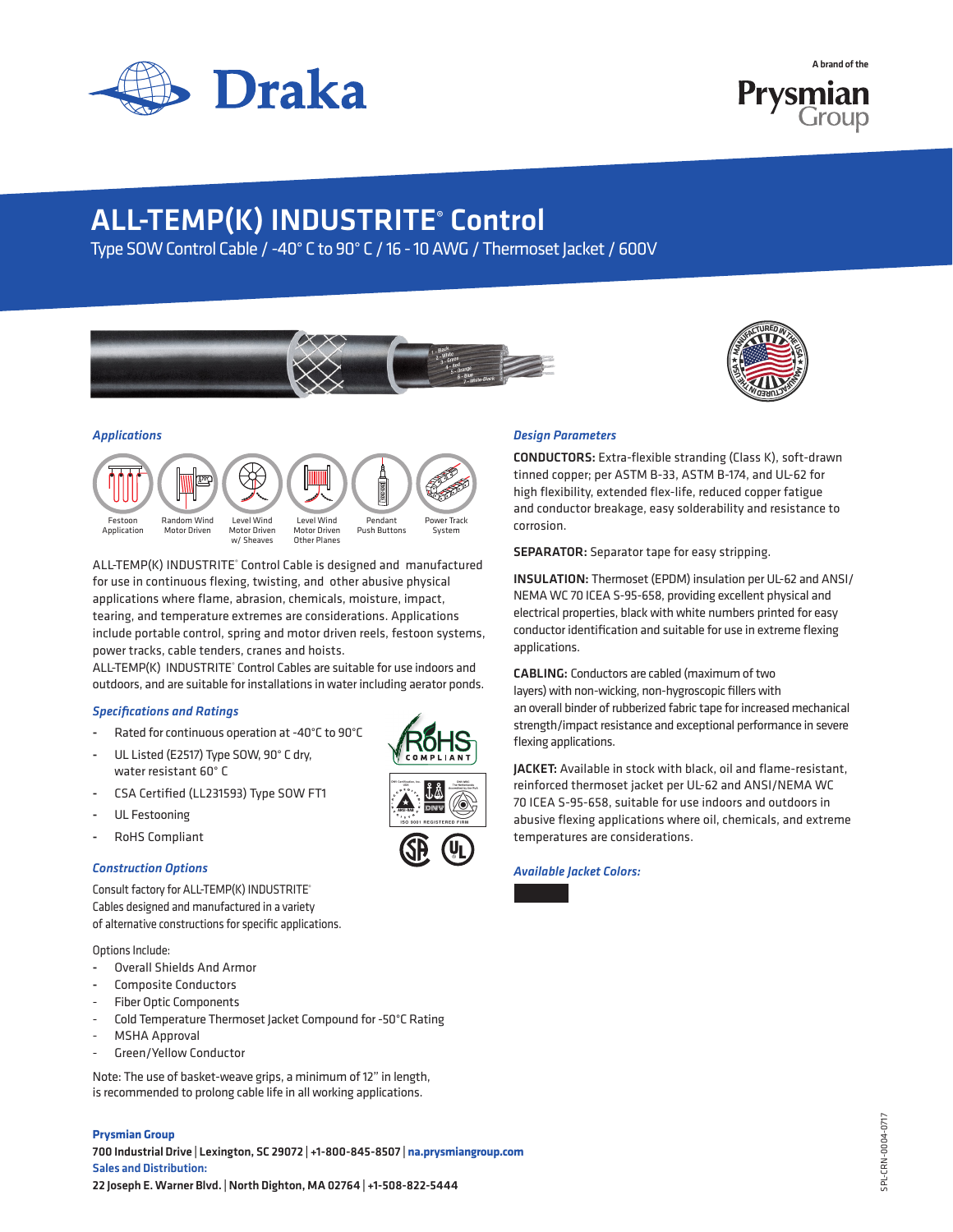

A brand of the



# ALL-TEMP(K) INDUSTRITE® Control

Type SOW Control Cable / -40° C to 90° C / 16 - 10 AWG / Thermoset Jacket / 600V





## *Applications*



ALL-TEMP(K) INDUSTRITE® Control Cable is designed and manufactured for use in continuous flexing, twisting, and other abusive physical applications where flame, abrasion, chemicals, moisture, impact, tearing, and temperature extremes are considerations. Applications include portable control, spring and motor driven reels, festoon systems, power tracks, cable tenders, cranes and hoists.

ALL-TEMP(K) INDUSTRITE® Control Cables are suitable for use indoors and outdoors, and are suitable for installations in water including aerator ponds.

### *Specifications and Ratings*

- Rated for continuous operation at -40°C to 90°C
- UL Listed (E2517) Type SOW, 90° C dry, water resistant 60° C
- CSA Certified (LL231593) Type SOW FT1
- UL Festooning
- RoHS Compliant

### *Construction Options*

Consult factory for ALL-TEMP(K) INDUSTRITE® Cables designed and manufactured in a variety of alternative constructions for specific applications.

Options Include:

- Overall Shields And Armor
- Composite Conductors
- Fiber Optic Components
- Cold Temperature Thermoset Jacket Compound for -50°C Rating
- MSHA Approval
- Green/Yellow Conductor

Note: The use of basket-weave grips, a minimum of 12" in length, is recommended to prolong cable life in all working applications.

### **Prysmian Group**

700 Industrial Drive | Lexington, SC 29072 | +1-800-845-8507 | **na.prysmiangroup.com** Sales and Distribution: 22 Joseph E. Warner Blvd. | North Dighton, MA 02764 | +1-508-822-5444



### *Design Parameters*

CONDUCTORS: Extra-flexible stranding (Class K), soft-drawn tinned copper; per ASTM B-33, ASTM B-174, and UL-62 for high flexibility, extended flex-life, reduced copper fatigue and conductor breakage, easy solderability and resistance to corrosion.

SEPARATOR: Separator tape for easy stripping.

INSULATION: Thermoset (EPDM) insulation per UL-62 and ANSI/ NEMA WC 70 ICEA S-95-658, providing excellent physical and electrical properties, black with white numbers printed for easy conductor identification and suitable for use in extreme flexing applications.

CABLING: Conductors are cabled (maximum of two layers) with non-wicking, non-hygroscopic fillers with an overall binder of rubberized fabric tape for increased mechanical strength/impact resistance and exceptional performance in severe flexing applications.

JACKET: Available in stock with black, oil and flame-resistant, reinforced thermoset jacket per UL-62 and ANSI/NEMA WC 70 ICEA S-95-658, suitable for use indoors and outdoors in abusive flexing applications where oil, chemicals, and extreme temperatures are considerations.

*Available Jacket Colors:*